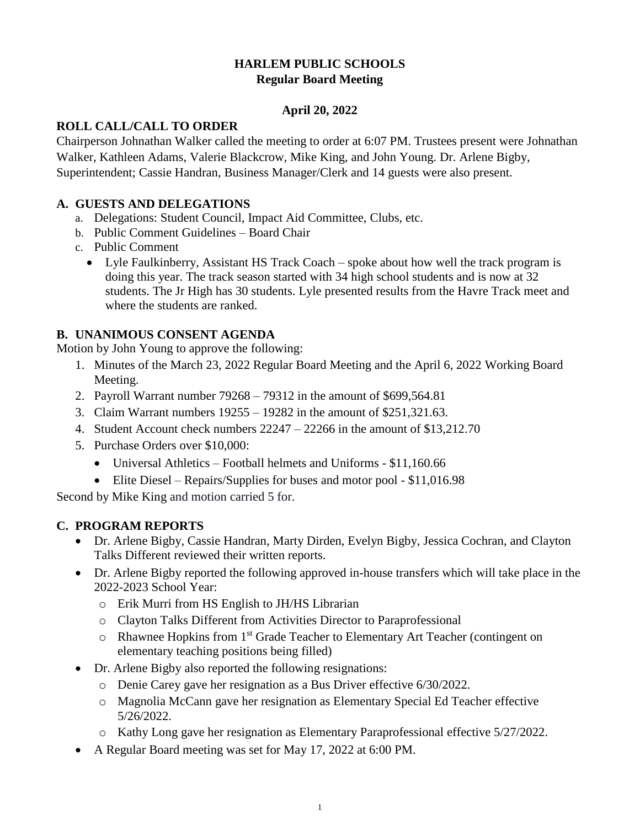# **HARLEM PUBLIC SCHOOLS Regular Board Meeting**

## **April 20, 2022**

## **ROLL CALL/CALL TO ORDER**

Chairperson Johnathan Walker called the meeting to order at 6:07 PM. Trustees present were Johnathan Walker, Kathleen Adams, Valerie Blackcrow, Mike King, and John Young. Dr. Arlene Bigby, Superintendent; Cassie Handran, Business Manager/Clerk and 14 guests were also present.

### **A. GUESTS AND DELEGATIONS**

- a. Delegations: Student Council, Impact Aid Committee, Clubs, etc.
- b. Public Comment Guidelines Board Chair
- c. Public Comment
	- Lyle Faulkinberry, Assistant HS Track Coach spoke about how well the track program is doing this year. The track season started with 34 high school students and is now at 32 students. The Jr High has 30 students. Lyle presented results from the Havre Track meet and where the students are ranked.

## **B. UNANIMOUS CONSENT AGENDA**

Motion by John Young to approve the following:

- 1. Minutes of the March 23, 2022 Regular Board Meeting and the April 6, 2022 Working Board Meeting.
- 2. Payroll Warrant number 79268 79312 in the amount of \$699,564.81
- 3. Claim Warrant numbers 19255 19282 in the amount of \$251,321.63.
- 4. Student Account check numbers 22247 22266 in the amount of \$13,212.70
- 5. Purchase Orders over \$10,000:
	- Universal Athletics Football helmets and Uniforms \$11,160.66
	- Elite Diesel Repairs/Supplies for buses and motor pool \$11,016.98

Second by Mike King and motion carried 5 for.

## **C. PROGRAM REPORTS**

- Dr. Arlene Bigby, Cassie Handran, Marty Dirden, Evelyn Bigby, Jessica Cochran, and Clayton Talks Different reviewed their written reports.
- Dr. Arlene Bigby reported the following approved in-house transfers which will take place in the 2022-2023 School Year:
	- o Erik Murri from HS English to JH/HS Librarian
	- o Clayton Talks Different from Activities Director to Paraprofessional
	- o Rhawnee Hopkins from 1st Grade Teacher to Elementary Art Teacher (contingent on elementary teaching positions being filled)
- Dr. Arlene Bigby also reported the following resignations:
	- o Denie Carey gave her resignation as a Bus Driver effective 6/30/2022.
	- o Magnolia McCann gave her resignation as Elementary Special Ed Teacher effective 5/26/2022.
	- o Kathy Long gave her resignation as Elementary Paraprofessional effective 5/27/2022.
- A Regular Board meeting was set for May 17, 2022 at 6:00 PM.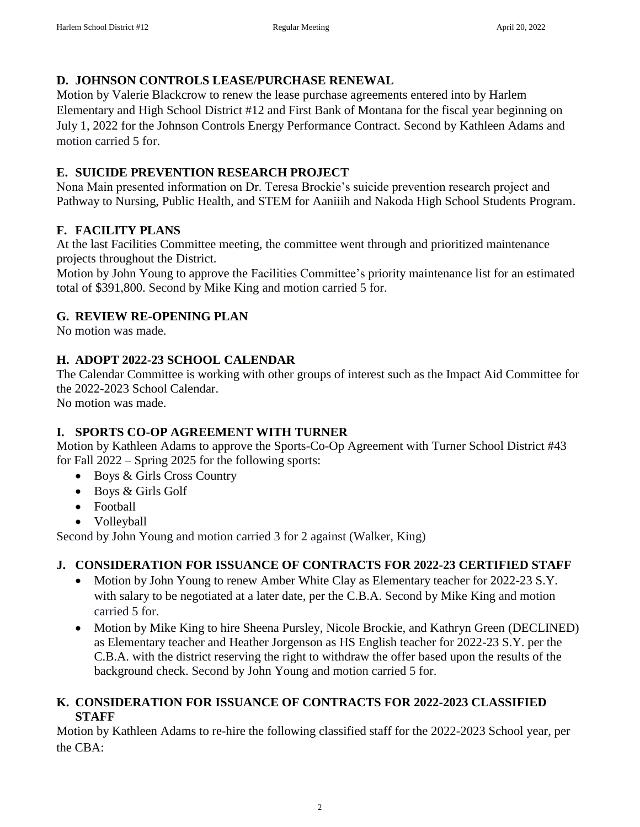## **D. JOHNSON CONTROLS LEASE/PURCHASE RENEWAL**

Motion by Valerie Blackcrow to renew the lease purchase agreements entered into by Harlem Elementary and High School District #12 and First Bank of Montana for the fiscal year beginning on July 1, 2022 for the Johnson Controls Energy Performance Contract. Second by Kathleen Adams and motion carried 5 for.

## **E. SUICIDE PREVENTION RESEARCH PROJECT**

Nona Main presented information on Dr. Teresa Brockie's suicide prevention research project and Pathway to Nursing, Public Health, and STEM for Aaniiih and Nakoda High School Students Program.

## **F. FACILITY PLANS**

At the last Facilities Committee meeting, the committee went through and prioritized maintenance projects throughout the District.

Motion by John Young to approve the Facilities Committee's priority maintenance list for an estimated total of \$391,800. Second by Mike King and motion carried 5 for.

## **G. REVIEW RE-OPENING PLAN**

No motion was made.

## **H. ADOPT 2022-23 SCHOOL CALENDAR**

The Calendar Committee is working with other groups of interest such as the Impact Aid Committee for the 2022-2023 School Calendar.

No motion was made.

# **I. SPORTS CO-OP AGREEMENT WITH TURNER**

Motion by Kathleen Adams to approve the Sports-Co-Op Agreement with Turner School District #43 for Fall 2022 – Spring 2025 for the following sports:

- Boys & Girls Cross Country
- Boys & Girls Golf
- Football
- Volleyball

Second by John Young and motion carried 3 for 2 against (Walker, King)

# **J. CONSIDERATION FOR ISSUANCE OF CONTRACTS FOR 2022-23 CERTIFIED STAFF**

- Motion by John Young to renew Amber White Clay as Elementary teacher for 2022-23 S.Y. with salary to be negotiated at a later date, per the C.B.A. Second by Mike King and motion carried 5 for.
- Motion by Mike King to hire Sheena Pursley, Nicole Brockie, and Kathryn Green (DECLINED) as Elementary teacher and Heather Jorgenson as HS English teacher for 2022-23 S.Y. per the C.B.A. with the district reserving the right to withdraw the offer based upon the results of the background check. Second by John Young and motion carried 5 for.

#### **K. CONSIDERATION FOR ISSUANCE OF CONTRACTS FOR 2022-2023 CLASSIFIED STAFF**

Motion by Kathleen Adams to re-hire the following classified staff for the 2022-2023 School year, per the CBA: